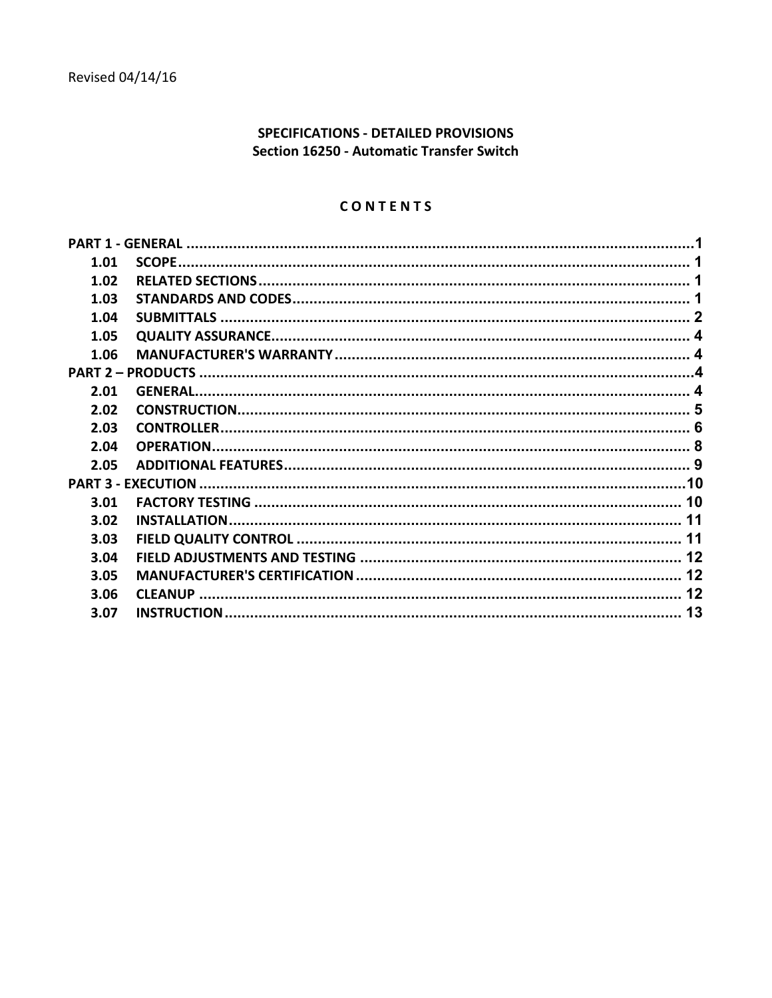# SPECIFICATIONS - DETAILED PROVISIONS Section 16250 - Automatic Transfer Switch

## CONTENTS

| 1.01 |  |  |  |  |  |  |
|------|--|--|--|--|--|--|
| 1.02 |  |  |  |  |  |  |
| 1.03 |  |  |  |  |  |  |
| 1.04 |  |  |  |  |  |  |
| 1.05 |  |  |  |  |  |  |
| 1.06 |  |  |  |  |  |  |
|      |  |  |  |  |  |  |
| 2.01 |  |  |  |  |  |  |
| 2.02 |  |  |  |  |  |  |
| 2.03 |  |  |  |  |  |  |
| 2.04 |  |  |  |  |  |  |
| 2.05 |  |  |  |  |  |  |
|      |  |  |  |  |  |  |
| 3.01 |  |  |  |  |  |  |
| 3.02 |  |  |  |  |  |  |
| 3.03 |  |  |  |  |  |  |
| 3.04 |  |  |  |  |  |  |
| 3.05 |  |  |  |  |  |  |
| 3.06 |  |  |  |  |  |  |
| 3.07 |  |  |  |  |  |  |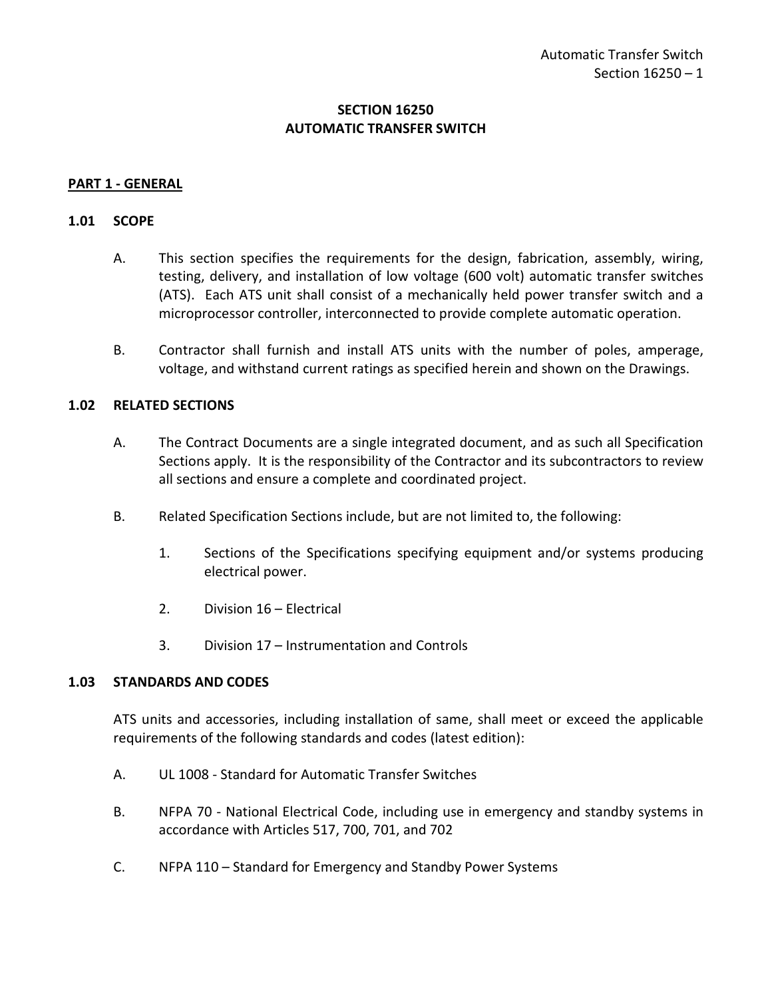## **SECTION 16250 AUTOMATIC TRANSFER SWITCH**

### <span id="page-2-0"></span>**PART 1 - GENERAL**

### <span id="page-2-1"></span>**1.01 SCOPE**

- A. This section specifies the requirements for the design, fabrication, assembly, wiring, testing, delivery, and installation of low voltage (600 volt) automatic transfer switches (ATS). Each ATS unit shall consist of a mechanically held power transfer switch and a microprocessor controller, interconnected to provide complete automatic operation.
- B. Contractor shall furnish and install ATS units with the number of poles, amperage, voltage, and withstand current ratings as specified herein and shown on the Drawings.

### <span id="page-2-2"></span>**1.02 RELATED SECTIONS**

- A. The Contract Documents are a single integrated document, and as such all Specification Sections apply. It is the responsibility of the Contractor and its subcontractors to review all sections and ensure a complete and coordinated project.
- B. Related Specification Sections include, but are not limited to, the following:
	- 1. Sections of the Specifications specifying equipment and/or systems producing electrical power.
	- 2. Division 16 Electrical
	- 3. Division 17 Instrumentation and Controls

### <span id="page-2-3"></span>**1.03 STANDARDS AND CODES**

ATS units and accessories, including installation of same, shall meet or exceed the applicable requirements of the following standards and codes (latest edition):

- A. UL 1008 Standard for Automatic Transfer Switches
- B. NFPA 70 National Electrical Code, including use in emergency and standby systems in accordance with Articles 517, 700, 701, and 702
- C. NFPA 110 Standard for Emergency and Standby Power Systems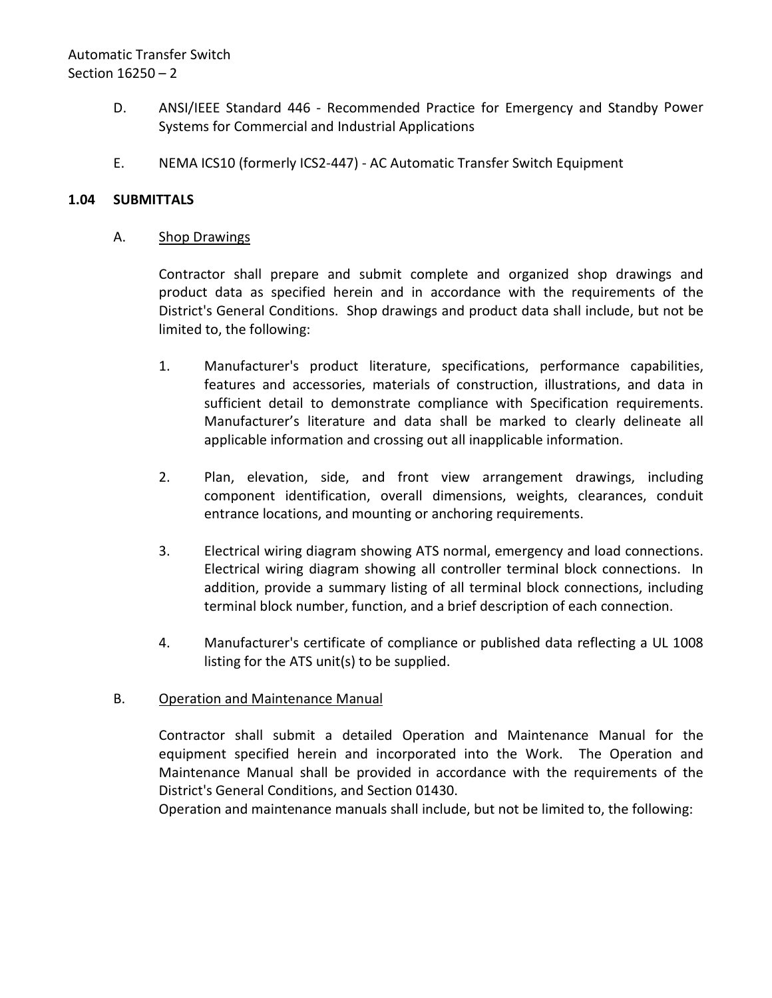# Automatic Transfer Switch Section 16250 – 2

- D. ANSI/IEEE Standard 446 Recommended Practice for Emergency and Standby Power Systems for Commercial and Industrial Applications
- E. NEMA ICS10 (formerly ICS2-447) AC Automatic Transfer Switch Equipment

## <span id="page-3-0"></span>**1.04 SUBMITTALS**

## A. Shop Drawings

Contractor shall prepare and submit complete and organized shop drawings and product data as specified herein and in accordance with the requirements of the District's General Conditions. Shop drawings and product data shall include, but not be limited to, the following:

- 1. Manufacturer's product literature, specifications, performance capabilities, features and accessories, materials of construction, illustrations, and data in sufficient detail to demonstrate compliance with Specification requirements. Manufacturer's literature and data shall be marked to clearly delineate all applicable information and crossing out all inapplicable information.
- 2. Plan, elevation, side, and front view arrangement drawings, including component identification, overall dimensions, weights, clearances, conduit entrance locations, and mounting or anchoring requirements.
- 3. Electrical wiring diagram showing ATS normal, emergency and load connections. Electrical wiring diagram showing all controller terminal block connections. In addition, provide a summary listing of all terminal block connections, including terminal block number, function, and a brief description of each connection.
- 4. Manufacturer's certificate of compliance or published data reflecting a UL 1008 listing for the ATS unit(s) to be supplied.

## B. Operation and Maintenance Manual

Contractor shall submit a detailed Operation and Maintenance Manual for the equipment specified herein and incorporated into the Work. The Operation and Maintenance Manual shall be provided in accordance with the requirements of the District's General Conditions, and Section 01430.

Operation and maintenance manuals shall include, but not be limited to, the following: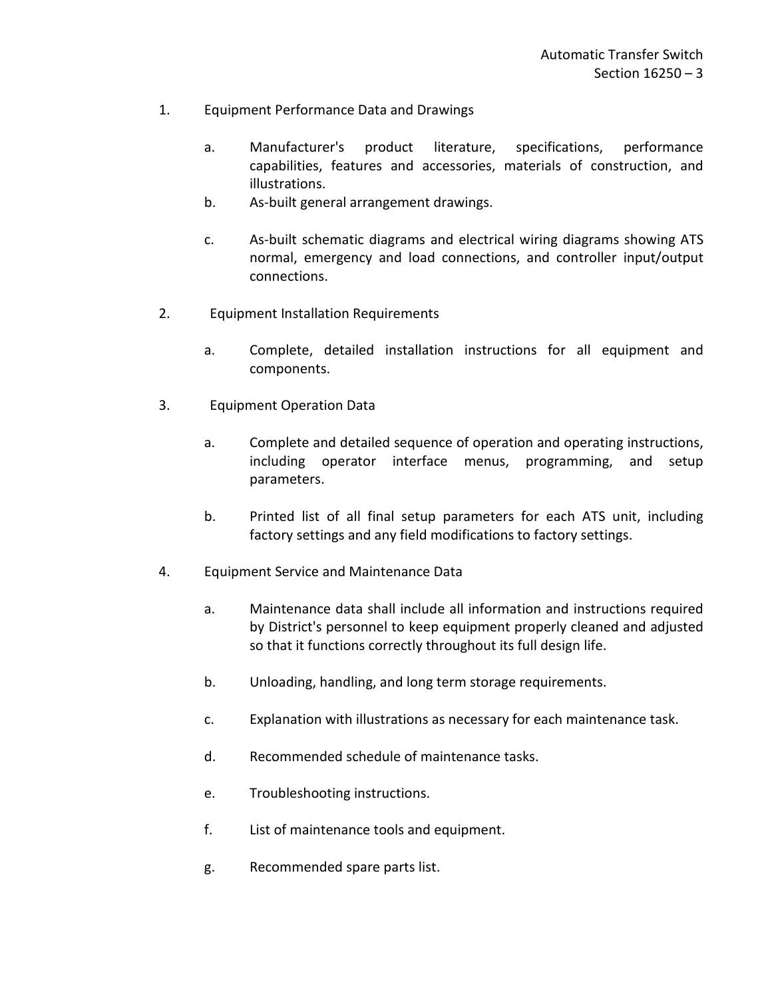- 1. Equipment Performance Data and Drawings
	- a. Manufacturer's product literature, specifications, performance capabilities, features and accessories, materials of construction, and illustrations.
	- b. As-built general arrangement drawings.
	- c. As-built schematic diagrams and electrical wiring diagrams showing ATS normal, emergency and load connections, and controller input/output connections.
- 2. Equipment Installation Requirements
	- a. Complete, detailed installation instructions for all equipment and components.
- 3. Equipment Operation Data
	- a. Complete and detailed sequence of operation and operating instructions, including operator interface menus, programming, and setup parameters.
	- b. Printed list of all final setup parameters for each ATS unit, including factory settings and any field modifications to factory settings.
- 4. Equipment Service and Maintenance Data
	- a. Maintenance data shall include all information and instructions required by District's personnel to keep equipment properly cleaned and adjusted so that it functions correctly throughout its full design life.
	- b. Unloading, handling, and long term storage requirements.
	- c. Explanation with illustrations as necessary for each maintenance task.
	- d. Recommended schedule of maintenance tasks.
	- e. Troubleshooting instructions.
	- f. List of maintenance tools and equipment.
	- g. Recommended spare parts list.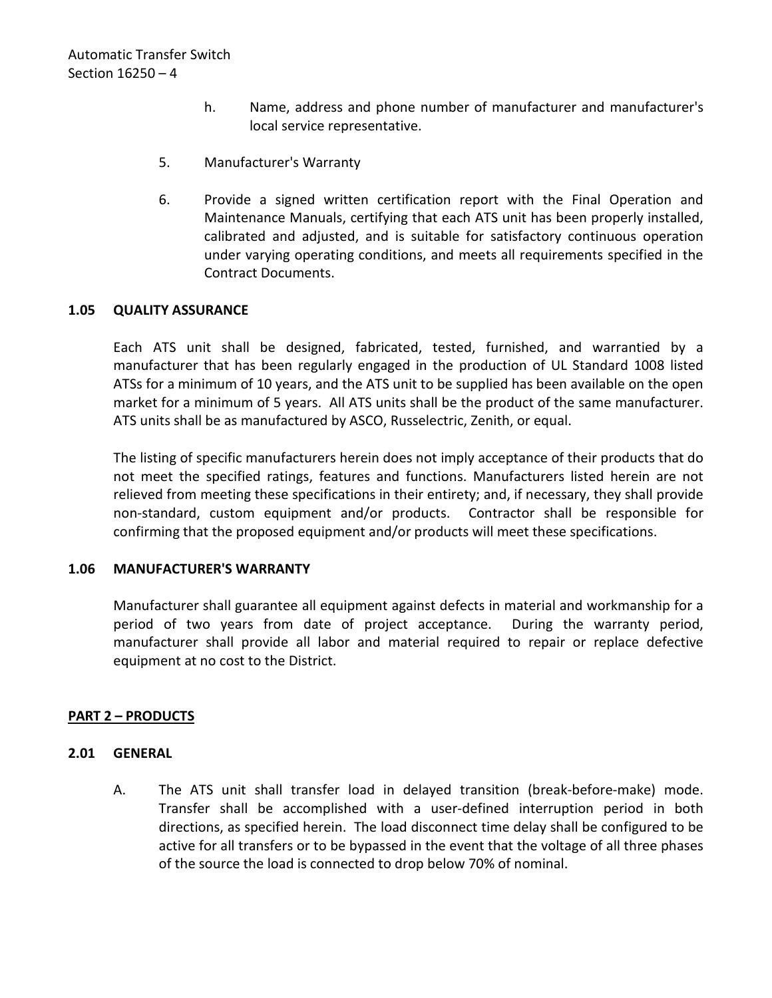- h. Name, address and phone number of manufacturer and manufacturer's local service representative.
- 5. Manufacturer's Warranty
- 6. Provide a signed written certification report with the Final Operation and Maintenance Manuals, certifying that each ATS unit has been properly installed, calibrated and adjusted, and is suitable for satisfactory continuous operation under varying operating conditions, and meets all requirements specified in the Contract Documents.

## <span id="page-5-0"></span>**1.05 QUALITY ASSURANCE**

Each ATS unit shall be designed, fabricated, tested, furnished, and warrantied by a manufacturer that has been regularly engaged in the production of UL Standard 1008 listed ATSs for a minimum of 10 years, and the ATS unit to be supplied has been available on the open market for a minimum of 5 years. All ATS units shall be the product of the same manufacturer. ATS units shall be as manufactured by ASCO, Russelectric, Zenith, or equal.

The listing of specific manufacturers herein does not imply acceptance of their products that do not meet the specified ratings, features and functions. Manufacturers listed herein are not relieved from meeting these specifications in their entirety; and, if necessary, they shall provide non-standard, custom equipment and/or products. Contractor shall be responsible for confirming that the proposed equipment and/or products will meet these specifications.

## <span id="page-5-1"></span>**1.06 MANUFACTURER'S WARRANTY**

Manufacturer shall guarantee all equipment against defects in material and workmanship for a period of two years from date of project acceptance. During the warranty period, manufacturer shall provide all labor and material required to repair or replace defective equipment at no cost to the District.

## <span id="page-5-2"></span>**PART 2 – PRODUCTS**

### <span id="page-5-3"></span>**2.01 GENERAL**

A. The ATS unit shall transfer load in delayed transition (break-before-make) mode. Transfer shall be accomplished with a user-defined interruption period in both directions, as specified herein. The load disconnect time delay shall be configured to be active for all transfers or to be bypassed in the event that the voltage of all three phases of the source the load is connected to drop below 70% of nominal.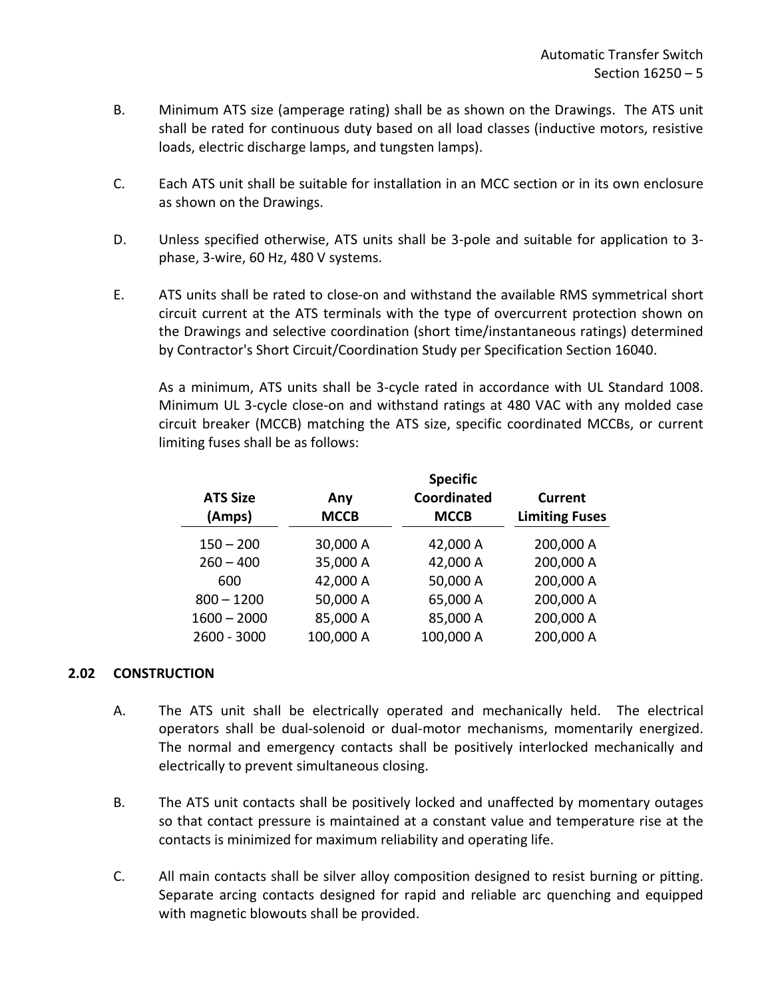- B. Minimum ATS size (amperage rating) shall be as shown on the Drawings. The ATS unit shall be rated for continuous duty based on all load classes (inductive motors, resistive loads, electric discharge lamps, and tungsten lamps).
- C. Each ATS unit shall be suitable for installation in an MCC section or in its own enclosure as shown on the Drawings.
- D. Unless specified otherwise, ATS units shall be 3-pole and suitable for application to 3 phase, 3-wire, 60 Hz, 480 V systems.
- E. ATS units shall be rated to close-on and withstand the available RMS symmetrical short circuit current at the ATS terminals with the type of overcurrent protection shown on the Drawings and selective coordination (short time/instantaneous ratings) determined by Contractor's Short Circuit/Coordination Study per Specification Section 16040.

As a minimum, ATS units shall be 3-cycle rated in accordance with UL Standard 1008. Minimum UL 3-cycle close-on and withstand ratings at 480 VAC with any molded case circuit breaker (MCCB) matching the ATS size, specific coordinated MCCBs, or current limiting fuses shall be as follows:

| <b>ATS Size</b><br>(Amps) |               | Any<br><b>MCCB</b> | <b>Specific</b><br><b>Coordinated</b><br><b>MCCB</b> | <b>Current</b><br><b>Limiting Fuses</b> |
|---------------------------|---------------|--------------------|------------------------------------------------------|-----------------------------------------|
|                           | $150 - 200$   | 30,000 A           | 42,000 A                                             | 200,000 A                               |
|                           | $260 - 400$   | 35,000 A           | 42,000 A                                             | 200,000 A                               |
|                           | 600           | 42,000 A           | 50,000 A                                             | 200,000 A                               |
|                           | $800 - 1200$  | 50,000 A           | 65,000 A                                             | 200,000 A                               |
|                           | $1600 - 2000$ | 85,000 A           | 85,000 A                                             | 200,000 A                               |
|                           | 2600 - 3000   | 100,000 A          | 100,000 A                                            | 200,000 A                               |
|                           |               |                    |                                                      |                                         |

## <span id="page-6-0"></span>**2.02 CONSTRUCTION**

- A. The ATS unit shall be electrically operated and mechanically held. The electrical operators shall be dual-solenoid or dual-motor mechanisms, momentarily energized. The normal and emergency contacts shall be positively interlocked mechanically and electrically to prevent simultaneous closing.
- B. The ATS unit contacts shall be positively locked and unaffected by momentary outages so that contact pressure is maintained at a constant value and temperature rise at the contacts is minimized for maximum reliability and operating life.
- C. All main contacts shall be silver alloy composition designed to resist burning or pitting. Separate arcing contacts designed for rapid and reliable arc quenching and equipped with magnetic blowouts shall be provided.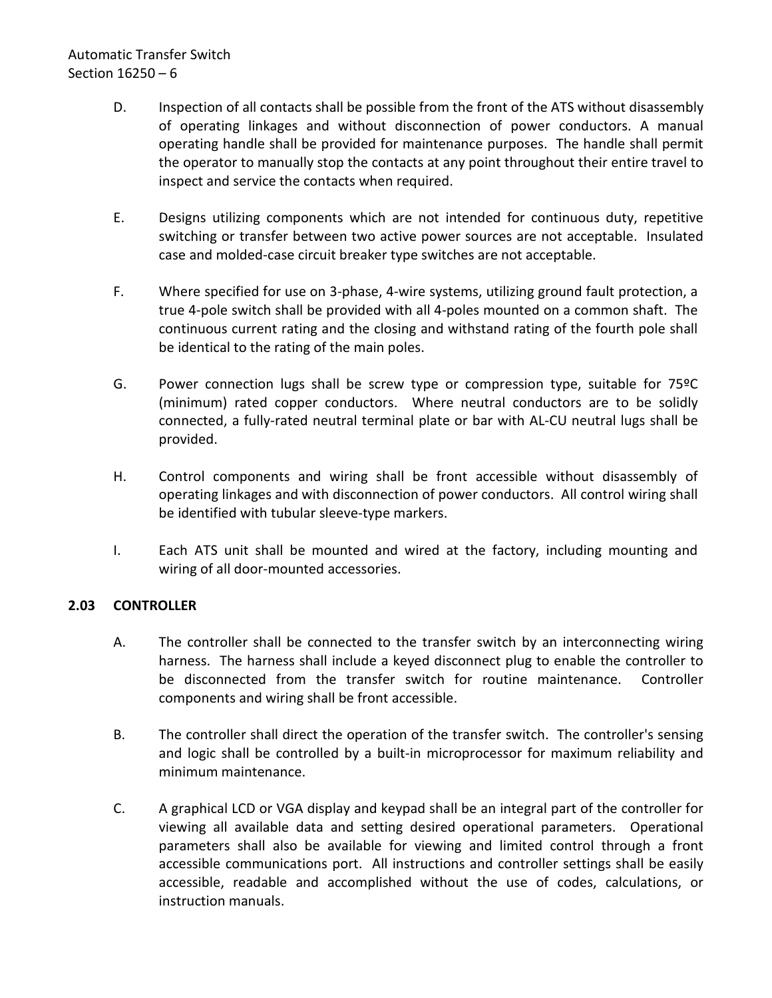# Automatic Transfer Switch Section 16250 – 6

- D. Inspection of all contacts shall be possible from the front of the ATS without disassembly of operating linkages and without disconnection of power conductors. A manual operating handle shall be provided for maintenance purposes. The handle shall permit the operator to manually stop the contacts at any point throughout their entire travel to inspect and service the contacts when required.
- E. Designs utilizing components which are not intended for continuous duty, repetitive switching or transfer between two active power sources are not acceptable. Insulated case and molded-case circuit breaker type switches are not acceptable.
- F. Where specified for use on 3-phase, 4-wire systems, utilizing ground fault protection, a true 4-pole switch shall be provided with all 4-poles mounted on a common shaft. The continuous current rating and the closing and withstand rating of the fourth pole shall be identical to the rating of the main poles.
- G. Power connection lugs shall be screw type or compression type, suitable for 75ºC (minimum) rated copper conductors. Where neutral conductors are to be solidly connected, a fully-rated neutral terminal plate or bar with AL-CU neutral lugs shall be provided.
- H. Control components and wiring shall be front accessible without disassembly of operating linkages and with disconnection of power conductors. All control wiring shall be identified with tubular sleeve-type markers.
- I. Each ATS unit shall be mounted and wired at the factory, including mounting and wiring of all door-mounted accessories.

# <span id="page-7-0"></span>**2.03 CONTROLLER**

- A. The controller shall be connected to the transfer switch by an interconnecting wiring harness. The harness shall include a keyed disconnect plug to enable the controller to be disconnected from the transfer switch for routine maintenance. Controller components and wiring shall be front accessible.
- B. The controller shall direct the operation of the transfer switch. The controller's sensing and logic shall be controlled by a built-in microprocessor for maximum reliability and minimum maintenance.
- C. A graphical LCD or VGA display and keypad shall be an integral part of the controller for viewing all available data and setting desired operational parameters. Operational parameters shall also be available for viewing and limited control through a front accessible communications port. All instructions and controller settings shall be easily accessible, readable and accomplished without the use of codes, calculations, or instruction manuals.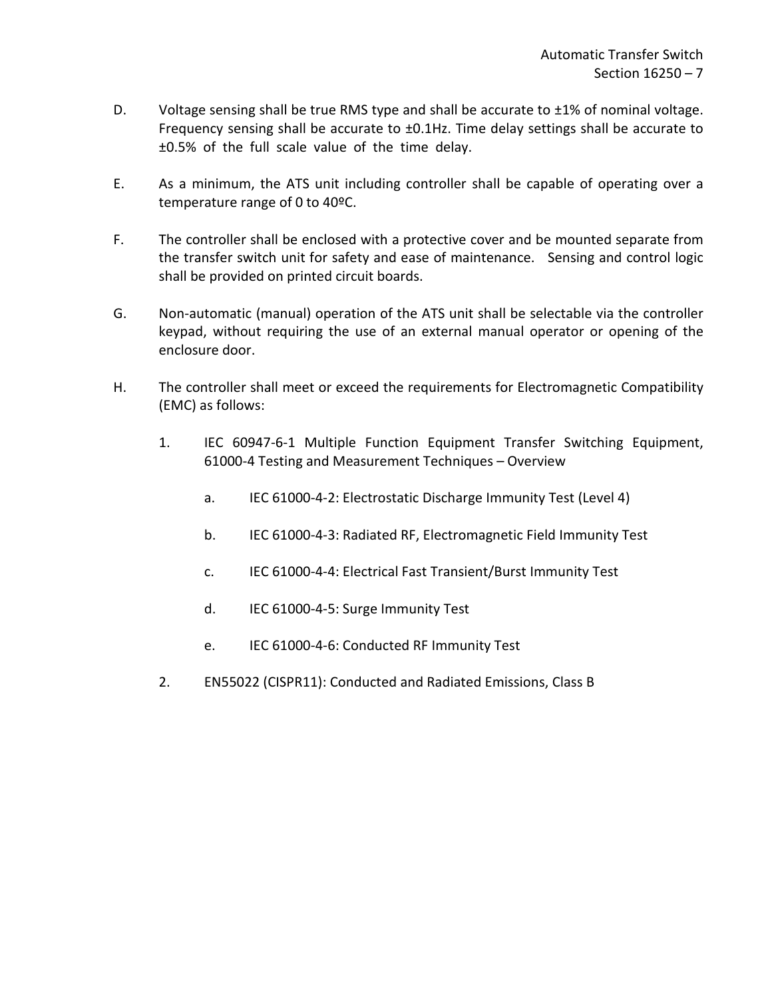- D. Voltage sensing shall be true RMS type and shall be accurate to  $\pm 1\%$  of nominal voltage. Frequency sensing shall be accurate to ±0.1Hz. Time delay settings shall be accurate to ±0.5% of the full scale value of the time delay.
- E. As a minimum, the ATS unit including controller shall be capable of operating over a temperature range of 0 to 40ºC.
- F. The controller shall be enclosed with a protective cover and be mounted separate from the transfer switch unit for safety and ease of maintenance. Sensing and control logic shall be provided on printed circuit boards.
- G. Non-automatic (manual) operation of the ATS unit shall be selectable via the controller keypad, without requiring the use of an external manual operator or opening of the enclosure door.
- H. The controller shall meet or exceed the requirements for Electromagnetic Compatibility (EMC) as follows:
	- 1. IEC 60947-6-1 Multiple Function Equipment Transfer Switching Equipment, 61000-4 Testing and Measurement Techniques – Overview
		- a. IEC 61000-4-2: Electrostatic Discharge Immunity Test (Level 4)
		- b. IEC 61000-4-3: Radiated RF, Electromagnetic Field Immunity Test
		- c. IEC 61000-4-4: Electrical Fast Transient/Burst Immunity Test
		- d. IEC 61000-4-5: Surge Immunity Test
		- e. IEC 61000-4-6: Conducted RF Immunity Test
	- 2. EN55022 (CISPR11): Conducted and Radiated Emissions, Class B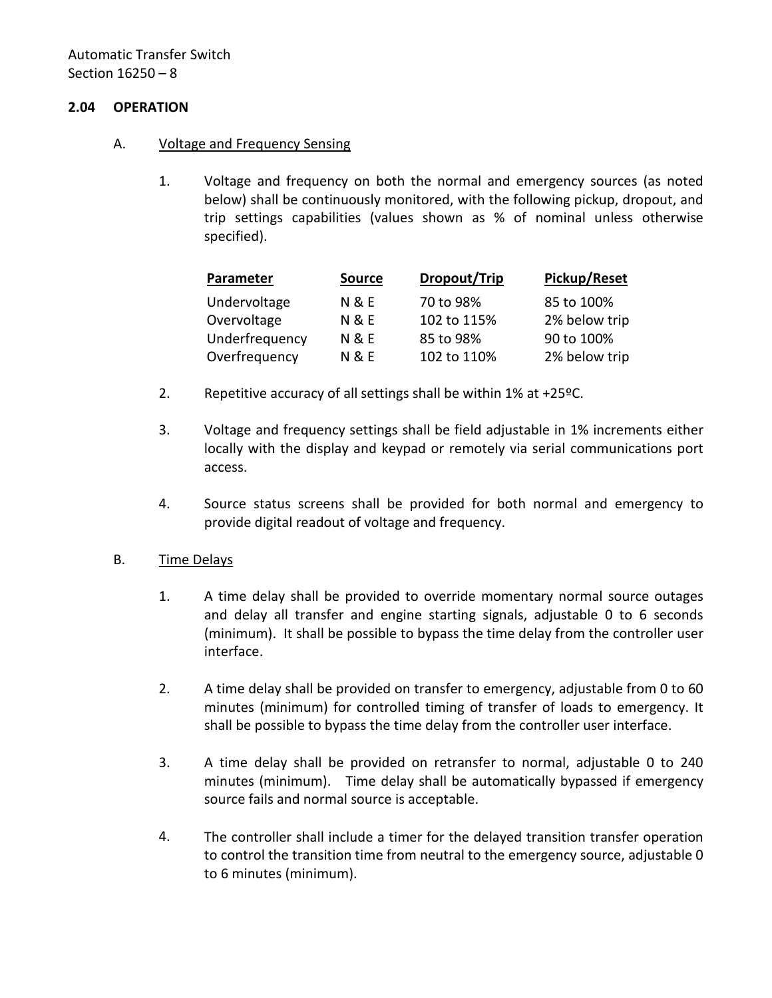## <span id="page-9-0"></span>**2.04 OPERATION**

- A. Voltage and Frequency Sensing
	- 1. Voltage and frequency on both the normal and emergency sources (as noted below) shall be continuously monitored, with the following pickup, dropout, and trip settings capabilities (values shown as % of nominal unless otherwise specified).

| Parameter      | <b>Source</b>    | Dropout/Trip | Pickup/Reset  |
|----------------|------------------|--------------|---------------|
| Undervoltage   | <b>N &amp; E</b> | 70 to 98%    | 85 to 100%    |
| Overvoltage    | <b>N &amp; E</b> | 102 to 115%  | 2% below trip |
| Underfrequency | <b>N &amp; E</b> | 85 to 98%    | 90 to 100%    |
| Overfrequency  | <b>N &amp; E</b> | 102 to 110%  | 2% below trip |

- 2. Repetitive accuracy of all settings shall be within 1% at +25ºC.
- 3. Voltage and frequency settings shall be field adjustable in 1% increments either locally with the display and keypad or remotely via serial communications port access.
- 4. Source status screens shall be provided for both normal and emergency to provide digital readout of voltage and frequency.

### B. Time Delays

- 1. A time delay shall be provided to override momentary normal source outages and delay all transfer and engine starting signals, adjustable 0 to 6 seconds (minimum). It shall be possible to bypass the time delay from the controller user interface.
- 2. A time delay shall be provided on transfer to emergency, adjustable from 0 to 60 minutes (minimum) for controlled timing of transfer of loads to emergency. It shall be possible to bypass the time delay from the controller user interface.
- 3. A time delay shall be provided on retransfer to normal, adjustable 0 to 240 minutes (minimum). Time delay shall be automatically bypassed if emergency source fails and normal source is acceptable.
- 4. The controller shall include a timer for the delayed transition transfer operation to control the transition time from neutral to the emergency source, adjustable 0 to 6 minutes (minimum).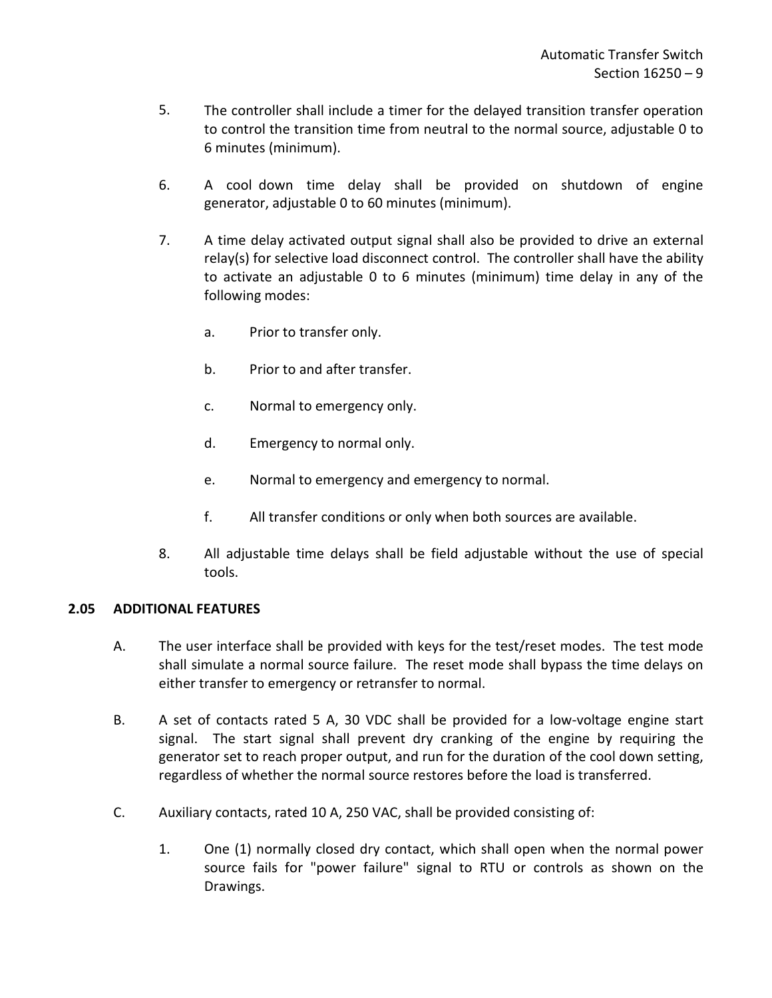- 5. The controller shall include a timer for the delayed transition transfer operation to control the transition time from neutral to the normal source, adjustable 0 to 6 minutes (minimum).
- 6. A cool down time delay shall be provided on shutdown of engine generator, adjustable 0 to 60 minutes (minimum).
- 7. A time delay activated output signal shall also be provided to drive an external relay(s) for selective load disconnect control. The controller shall have the ability to activate an adjustable 0 to 6 minutes (minimum) time delay in any of the following modes:
	- a. Prior to transfer only.
	- b. Prior to and after transfer.
	- c. Normal to emergency only.
	- d. Emergency to normal only.
	- e. Normal to emergency and emergency to normal.
	- f. All transfer conditions or only when both sources are available.
- 8. All adjustable time delays shall be field adjustable without the use of special tools.

# <span id="page-10-0"></span>**2.05 ADDITIONAL FEATURES**

- A. The user interface shall be provided with keys for the test/reset modes. The test mode shall simulate a normal source failure. The reset mode shall bypass the time delays on either transfer to emergency or retransfer to normal.
- B. A set of contacts rated 5 A, 30 VDC shall be provided for a low-voltage engine start signal. The start signal shall prevent dry cranking of the engine by requiring the generator set to reach proper output, and run for the duration of the cool down setting, regardless of whether the normal source restores before the load is transferred.
- C. Auxiliary contacts, rated 10 A, 250 VAC, shall be provided consisting of:
	- 1. One (1) normally closed dry contact, which shall open when the normal power source fails for "power failure" signal to RTU or controls as shown on the Drawings.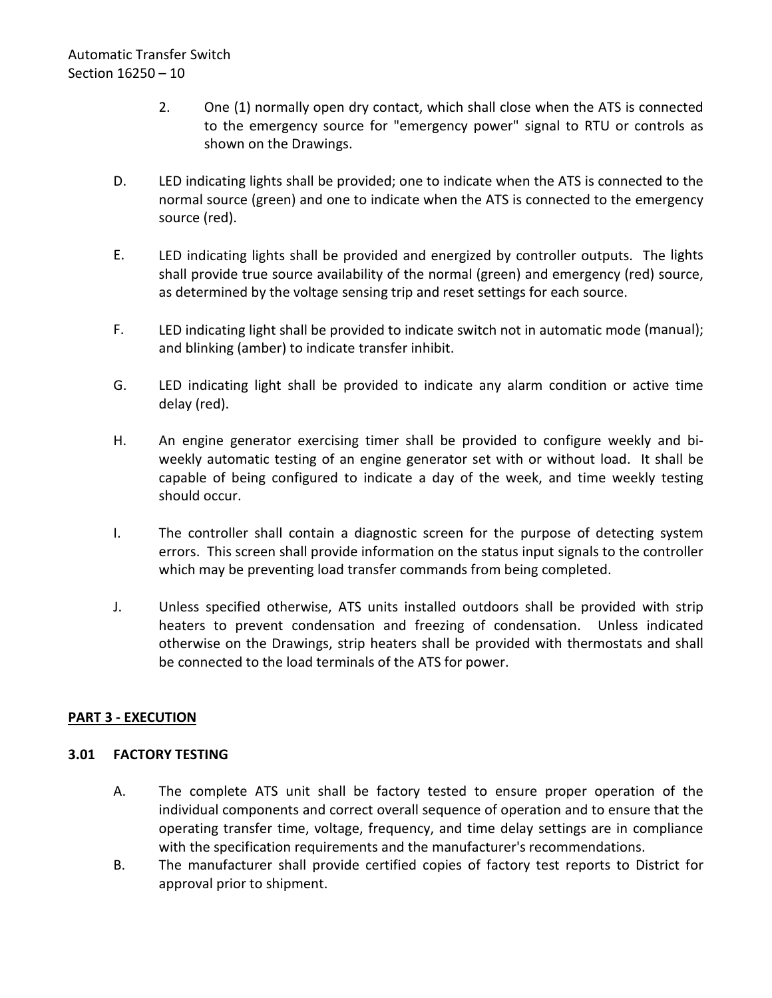- 2. One (1) normally open dry contact, which shall close when the ATS is connected to the emergency source for "emergency power" signal to RTU or controls as shown on the Drawings.
- D. LED indicating lights shall be provided; one to indicate when the ATS is connected to the normal source (green) and one to indicate when the ATS is connected to the emergency source (red).
- E. LED indicating lights shall be provided and energized by controller outputs. The lights shall provide true source availability of the normal (green) and emergency (red) source, as determined by the voltage sensing trip and reset settings for each source.
- F. LED indicating light shall be provided to indicate switch not in automatic mode (manual); and blinking (amber) to indicate transfer inhibit.
- G. LED indicating light shall be provided to indicate any alarm condition or active time delay (red).
- H. An engine generator exercising timer shall be provided to configure weekly and biweekly automatic testing of an engine generator set with or without load. It shall be capable of being configured to indicate a day of the week, and time weekly testing should occur.
- I. The controller shall contain a diagnostic screen for the purpose of detecting system errors. This screen shall provide information on the status input signals to the controller which may be preventing load transfer commands from being completed.
- J. Unless specified otherwise, ATS units installed outdoors shall be provided with strip heaters to prevent condensation and freezing of condensation. Unless indicated otherwise on the Drawings, strip heaters shall be provided with thermostats and shall be connected to the load terminals of the ATS for power.

# <span id="page-11-0"></span>**PART 3 - EXECUTION**

# <span id="page-11-1"></span>**3.01 FACTORY TESTING**

- A. The complete ATS unit shall be factory tested to ensure proper operation of the individual components and correct overall sequence of operation and to ensure that the operating transfer time, voltage, frequency, and time delay settings are in compliance with the specification requirements and the manufacturer's recommendations.
- B. The manufacturer shall provide certified copies of factory test reports to District for approval prior to shipment.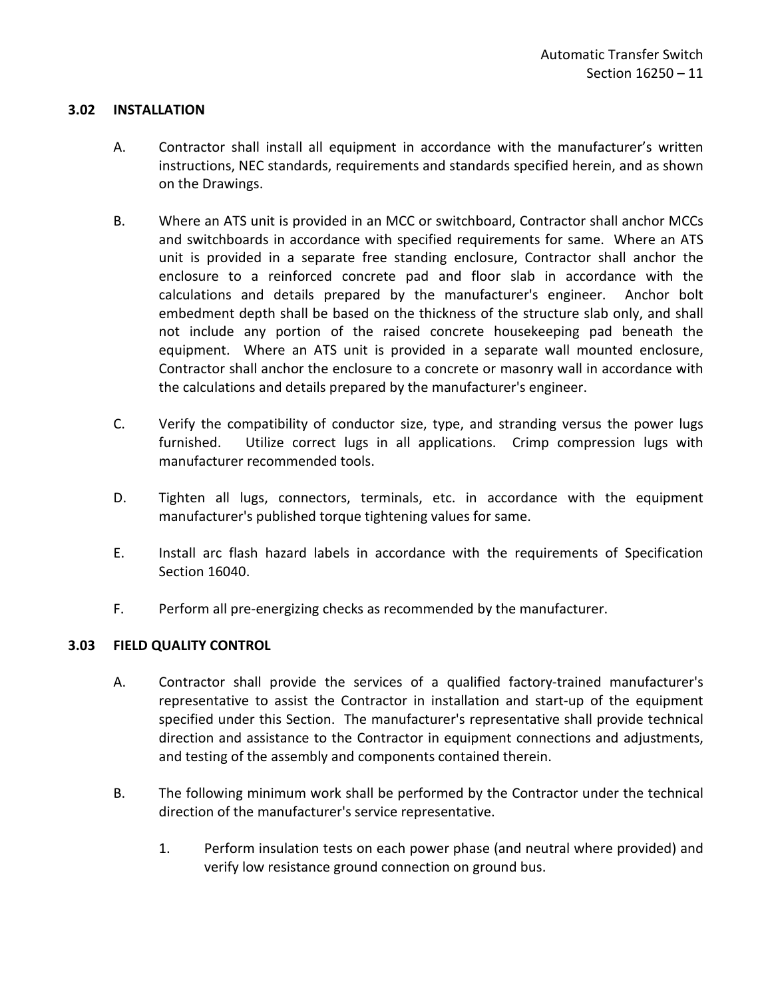## <span id="page-12-0"></span>**3.02 INSTALLATION**

- A. Contractor shall install all equipment in accordance with the manufacturer's written instructions, NEC standards, requirements and standards specified herein, and as shown on the Drawings.
- B. Where an ATS unit is provided in an MCC or switchboard, Contractor shall anchor MCCs and switchboards in accordance with specified requirements for same. Where an ATS unit is provided in a separate free standing enclosure, Contractor shall anchor the enclosure to a reinforced concrete pad and floor slab in accordance with the calculations and details prepared by the manufacturer's engineer. Anchor bolt embedment depth shall be based on the thickness of the structure slab only, and shall not include any portion of the raised concrete housekeeping pad beneath the equipment. Where an ATS unit is provided in a separate wall mounted enclosure, Contractor shall anchor the enclosure to a concrete or masonry wall in accordance with the calculations and details prepared by the manufacturer's engineer.
- C. Verify the compatibility of conductor size, type, and stranding versus the power lugs furnished. Utilize correct lugs in all applications. Crimp compression lugs with manufacturer recommended tools.
- D. Tighten all lugs, connectors, terminals, etc. in accordance with the equipment manufacturer's published torque tightening values for same.
- E. Install arc flash hazard labels in accordance with the requirements of Specification Section 16040.
- F. Perform all pre-energizing checks as recommended by the manufacturer.

### <span id="page-12-1"></span>**3.03 FIELD QUALITY CONTROL**

- A. Contractor shall provide the services of a qualified factory-trained manufacturer's representative to assist the Contractor in installation and start-up of the equipment specified under this Section. The manufacturer's representative shall provide technical direction and assistance to the Contractor in equipment connections and adjustments, and testing of the assembly and components contained therein.
- B. The following minimum work shall be performed by the Contractor under the technical direction of the manufacturer's service representative.
	- 1. Perform insulation tests on each power phase (and neutral where provided) and verify low resistance ground connection on ground bus.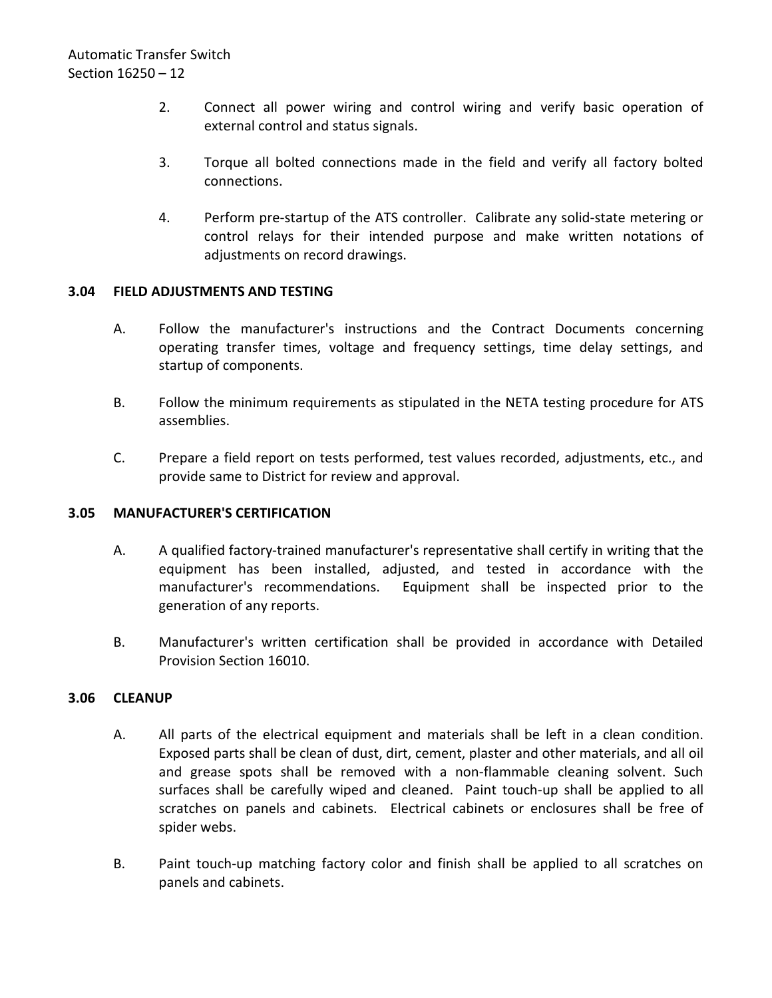- 2. Connect all power wiring and control wiring and verify basic operation of external control and status signals.
- 3. Torque all bolted connections made in the field and verify all factory bolted connections.
- 4. Perform pre-startup of the ATS controller. Calibrate any solid-state metering or control relays for their intended purpose and make written notations of adjustments on record drawings.

## <span id="page-13-0"></span>**3.04 FIELD ADJUSTMENTS AND TESTING**

- A. Follow the manufacturer's instructions and the Contract Documents concerning operating transfer times, voltage and frequency settings, time delay settings, and startup of components.
- B. Follow the minimum requirements as stipulated in the NETA testing procedure for ATS assemblies.
- C. Prepare a field report on tests performed, test values recorded, adjustments, etc., and provide same to District for review and approval.

## <span id="page-13-1"></span>**3.05 MANUFACTURER'S CERTIFICATION**

- A. A qualified factory-trained manufacturer's representative shall certify in writing that the equipment has been installed, adjusted, and tested in accordance with the manufacturer's recommendations. Equipment shall be inspected prior to the generation of any reports.
- B. Manufacturer's written certification shall be provided in accordance with Detailed Provision Section 16010.

## <span id="page-13-2"></span>**3.06 CLEANUP**

- A. All parts of the electrical equipment and materials shall be left in a clean condition. Exposed parts shall be clean of dust, dirt, cement, plaster and other materials, and all oil and grease spots shall be removed with a non-flammable cleaning solvent. Such surfaces shall be carefully wiped and cleaned. Paint touch-up shall be applied to all scratches on panels and cabinets. Electrical cabinets or enclosures shall be free of spider webs.
- B. Paint touch-up matching factory color and finish shall be applied to all scratches on panels and cabinets.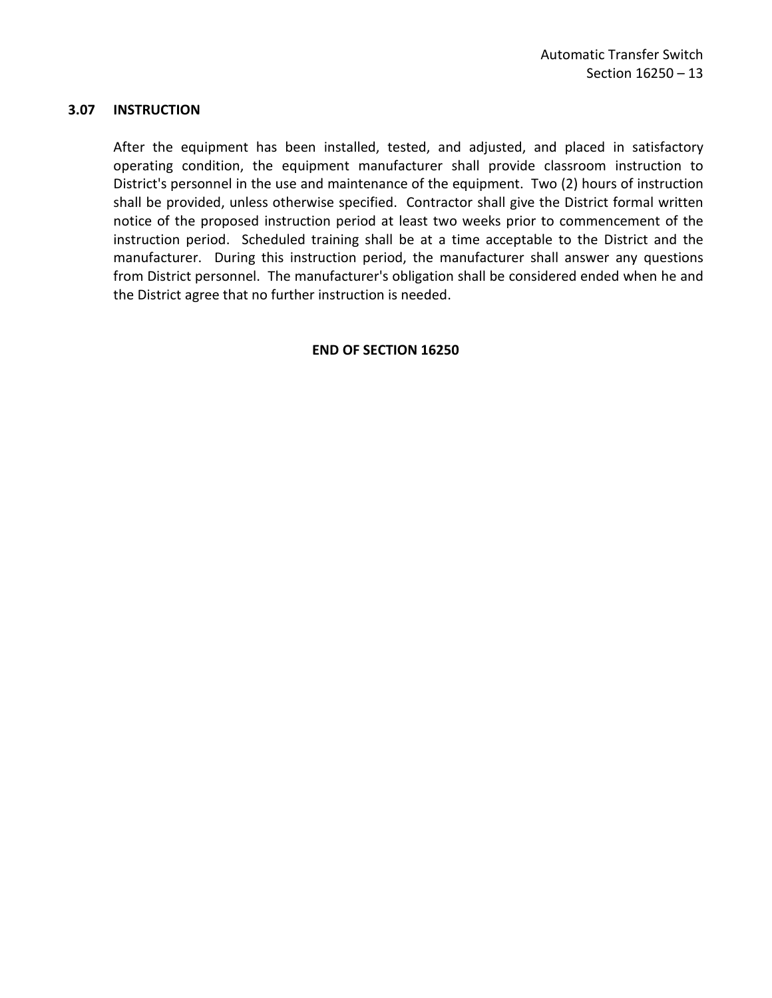### <span id="page-14-0"></span>**3.07 INSTRUCTION**

After the equipment has been installed, tested, and adjusted, and placed in satisfactory operating condition, the equipment manufacturer shall provide classroom instruction to District's personnel in the use and maintenance of the equipment. Two (2) hours of instruction shall be provided, unless otherwise specified. Contractor shall give the District formal written notice of the proposed instruction period at least two weeks prior to commencement of the instruction period. Scheduled training shall be at a time acceptable to the District and the manufacturer. During this instruction period, the manufacturer shall answer any questions from District personnel. The manufacturer's obligation shall be considered ended when he and the District agree that no further instruction is needed.

### **END OF SECTION 16250**